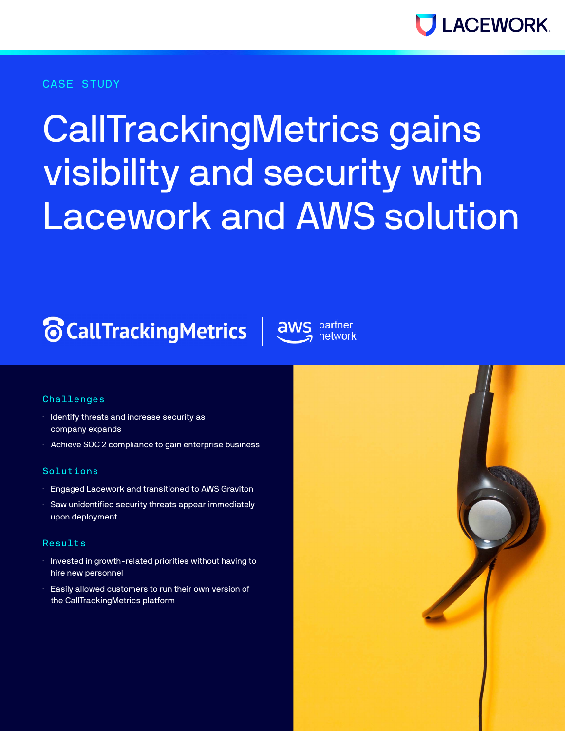

#### CASE STUDY

# CallTrackingMetrics gains visibility and security with Lacework and AWS solution

# **The CallTrackingMetrics** aws



#### **Challenges**

- · Identify threats and increase security as company expands
- · Achieve SOC 2 compliance to gain enterprise business

#### Solutions

- · Engaged Lacework and transitioned to AWS Graviton
- · Saw unidentified security threats appear immediately upon deployment

#### Results

- $\cdot$  Invested in growth-related priorities without having to hire new personnel
- · Easily allowed customers to run their own version of the CallTrackingMetrics platform

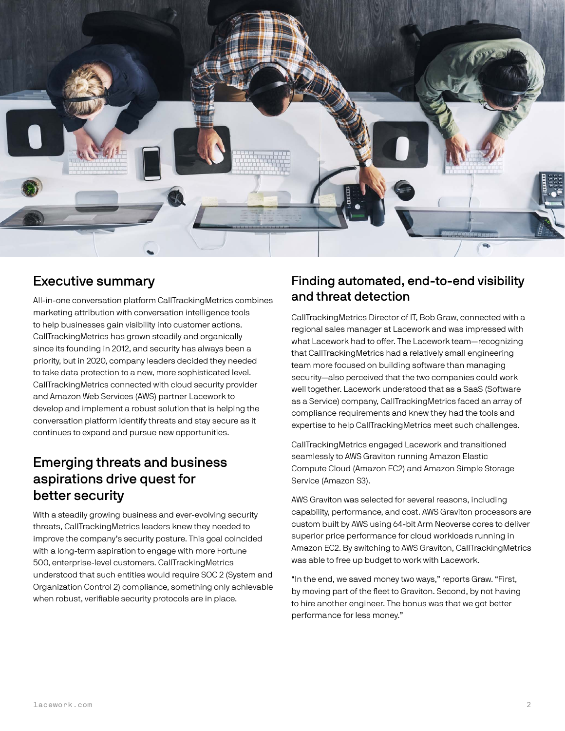

#### Executive summary

All-in-one conversation platform CallTrackingMetrics combines marketing attribution with conversation intelligence tools to help businesses gain visibility into customer actions. CallTrackingMetrics has grown steadily and organically since its founding in 2012, and security has always been a priority, but in 2020, company leaders decided they needed to take data protection to a new, more sophisticated level. CallTrackingMetrics connected with cloud security provider and Amazon Web Services (AWS) partner Lacework to develop and implement a robust solution that is helping the conversation platform identify threats and stay secure as it continues to expand and pursue new opportunities.

# Emerging threats and business aspirations drive quest for better security

With a steadily growing business and ever-evolving security threats, CallTrackingMetrics leaders knew they needed to improve the company's security posture. This goal coincided with a long-term aspiration to engage with more Fortune 500, enterprise-level customers. CallTrackingMetrics understood that such entities would require SOC 2 (System and Organization Control 2) compliance, something only achievable when robust, verifiable security protocols are in place.

#### Finding automated, end-to-end visibility and threat detection

CallTrackingMetrics Director of IT, Bob Graw, connected with a regional sales manager at Lacework and was impressed with what Lacework had to offer. The Lacework team—recognizing that CallTrackingMetrics had a relatively small engineering team more focused on building software than managing security—also perceived that the two companies could work well together. Lacework understood that as a SaaS (Software as a Service) company, CallTrackingMetrics faced an array of compliance requirements and knew they had the tools and expertise to help CallTrackingMetrics meet such challenges.

CallTrackingMetrics engaged Lacework and transitioned seamlessly to AWS Graviton running Amazon Elastic Compute Cloud (Amazon EC2) and Amazon Simple Storage Service (Amazon S3).

AWS Graviton was selected for several reasons, including capability, performance, and cost. AWS Graviton processors are custom built by AWS using 64-bit Arm Neoverse cores to deliver superior price performance for cloud workloads running in Amazon EC2. By switching to AWS Graviton, CallTrackingMetrics was able to free up budget to work with Lacework.

"In the end, we saved money two ways," reports Graw. "First, by moving part of the fleet to Graviton. Second, by not having to hire another engineer. The bonus was that we got better performance for less money."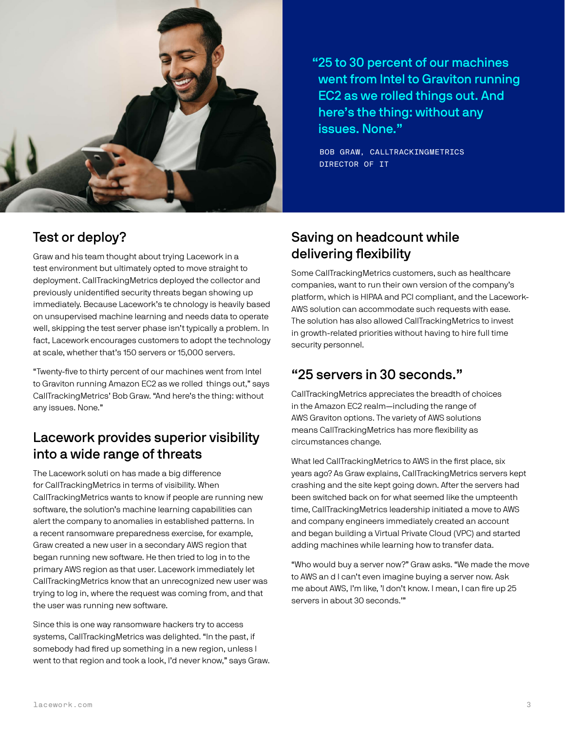

"25 to 30 percent of our machines went from Intel to Graviton running EC2 as we rolled things out. And here's the thing: without any issues. None."

 BOB GRAW, CALLTRACKINGMETRICS DIRECTOR OF IT

#### Test or deploy?

Graw and his team thought about trying Lacework in a test environment but ultimately opted to move straight to deployment. CallTrackingMetrics deployed the collector and previously unidentified security threats began showing up immediately. Because Lacework's te chnology is heavily based on unsupervised machine learning and needs data to operate well, skipping the test server phase isn't typically a problem. In fact, Lacework encourages customers to adopt the technology at scale, whether that's 150 servers or 15,000 servers.

"Twenty-five to thirty percent of our machines went from Intel to Graviton running Amazon EC2 as we rolled things out," says CallTrackingMetrics' Bob Graw. "And here's the thing: without any issues. None."

## Lacework provides superior visibility into a wide range of threats

The Lacework soluti on has made a big difference for CallTrackingMetrics in terms of visibility. When CallTrackingMetrics wants to know if people are running new software, the solution's machine learning capabilities can alert the company to anomalies in established patterns. In a recent ransomware preparedness exercise, for example, Graw created a new user in a secondary AWS region that began running new software. He then tried to log in to the primary AWS region as that user. Lacework immediately let CallTrackingMetrics know that an unrecognized new user was trying to log in, where the request was coming from, and that the user was running new software.

Since this is one way ransomware hackers try to access systems, CallTrackingMetrics was delighted. "In the past, if somebody had fired up something in a new region, unless I went to that region and took a look, I'd never know," says Graw.

## Saving on headcount while delivering flexibility

Some CallTrackingMetrics customers, such as healthcare companies, want to run their own version of the company's platform, which is HIPAA and PCI compliant, and the Lacework-AWS solution can accommodate such requests with ease. The solution has also allowed CallTrackingMetrics to invest in growth-related priorities without having to hire full time security personnel.

# "25 servers in 30 seconds."

CallTrackingMetrics appreciates the breadth of choices in the Amazon EC2 realm—including the range of AWS Graviton options. The variety of AWS solutions means CallTrackingMetrics has more flexibility as circumstances change.

What led CallTrackingMetrics to AWS in the first place, six years ago? As Graw explains, CallTrackingMetrics servers kept crashing and the site kept going down. After the servers had been switched back on for what seemed like the umpteenth time, CallTrackingMetrics leadership initiated a move to AWS and company engineers immediately created an account and began building a Virtual Private Cloud (VPC) and started adding machines while learning how to transfer data.

"Who would buy a server now?" Graw asks. "We made the move to AWS an d I can't even imagine buying a server now. Ask me about AWS, I'm like, 'I don't know. I mean, I can fire up 25 servers in about 30 seconds.'"